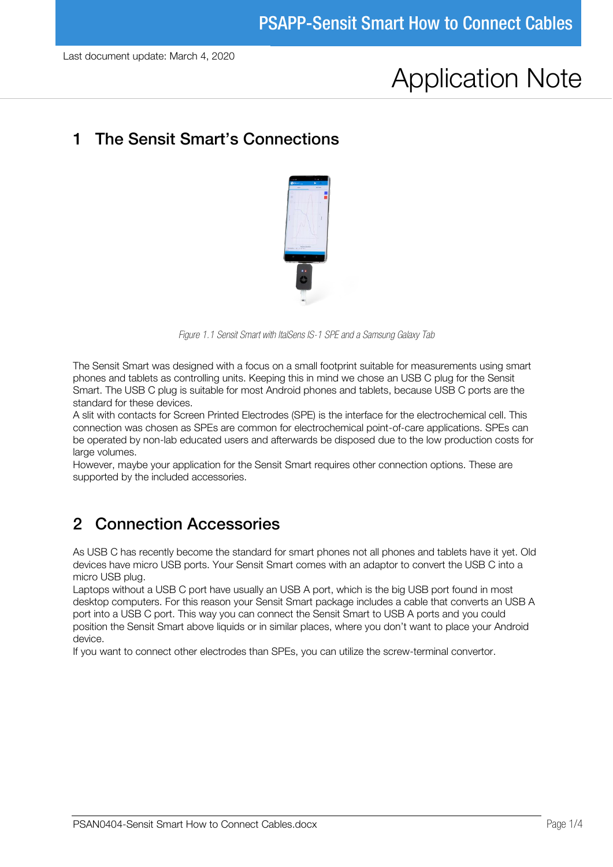# Application Note

#### 1 The Sensit Smart's Connections



*Figure 1.1 Sensit Smart with ItalSens IS-1 SPE and a Samsung Galaxy Tab*

The Sensit Smart was designed with a focus on a small footprint suitable for measurements using smart phones and tablets as controlling units. Keeping this in mind we chose an USB C plug for the Sensit Smart. The USB C plug is suitable for most Android phones and tablets, because USB C ports are the standard for these devices.

A slit with contacts for Screen Printed Electrodes (SPE) is the interface for the electrochemical cell. This connection was chosen as SPEs are common for electrochemical point-of-care applications. SPEs can be operated by non-lab educated users and afterwards be disposed due to the low production costs for large volumes.

However, maybe your application for the Sensit Smart requires other connection options. These are supported by the included accessories.

### 2 Connection Accessories

As USB C has recently become the standard for smart phones not all phones and tablets have it yet. Old devices have micro USB ports. Your Sensit Smart comes with an adaptor to convert the USB C into a micro USB plug.

Laptops without a USB C port have usually an USB A port, which is the big USB port found in most desktop computers. For this reason your Sensit Smart package includes a cable that converts an USB A port into a USB C port. This way you can connect the Sensit Smart to USB A ports and you could position the Sensit Smart above liquids or in similar places, where you don't want to place your Android device.

If you want to connect other electrodes than SPEs, you can utilize the screw-terminal convertor.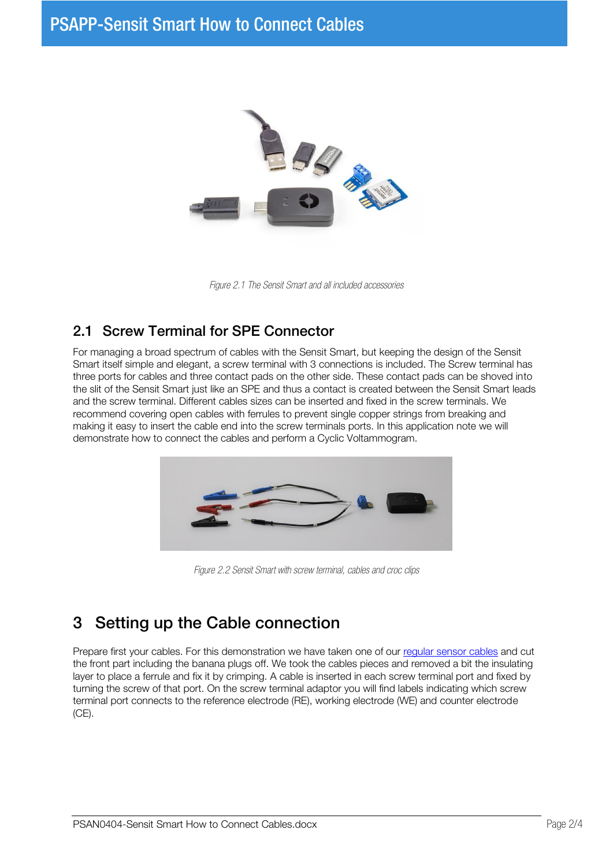

*Figure 2.1 The Sensit Smart and all included accessories*

#### 2.1 Screw Terminal for SPE Connector

For managing a broad spectrum of cables with the Sensit Smart, but keeping the design of the Sensit Smart itself simple and elegant, a screw terminal with 3 connections is included. The Screw terminal has three ports for cables and three contact pads on the other side. These contact pads can be shoved into the slit of the Sensit Smart just like an SPE and thus a contact is created between the Sensit Smart leads and the screw terminal. Different cables sizes can be inserted and fixed in the screw terminals. We recommend covering open cables with ferrules to prevent single copper strings from breaking and making it easy to insert the cable end into the screw terminals ports. In this application note we will demonstrate how to connect the cables and perform a Cyclic Voltammogram.



*Figure 2.2 Sensit Smart with screw terminal, cables and croc clips*

## 3 Setting up the Cable connection

Prepare first your cables. For this demonstration we have taken one of our [regular sensor cables](https://www.palmsens.com/products/accessories/?filters=accessory-type%5B260%5D) and cut the front part including the banana plugs off. We took the cables pieces and removed a bit the insulating layer to place a ferrule and fix it by crimping. A cable is inserted in each screw terminal port and fixed by turning the screw of that port. On the screw terminal adaptor you will find labels indicating which screw terminal port connects to the reference electrode (RE), working electrode (WE) and counter electrode (CE).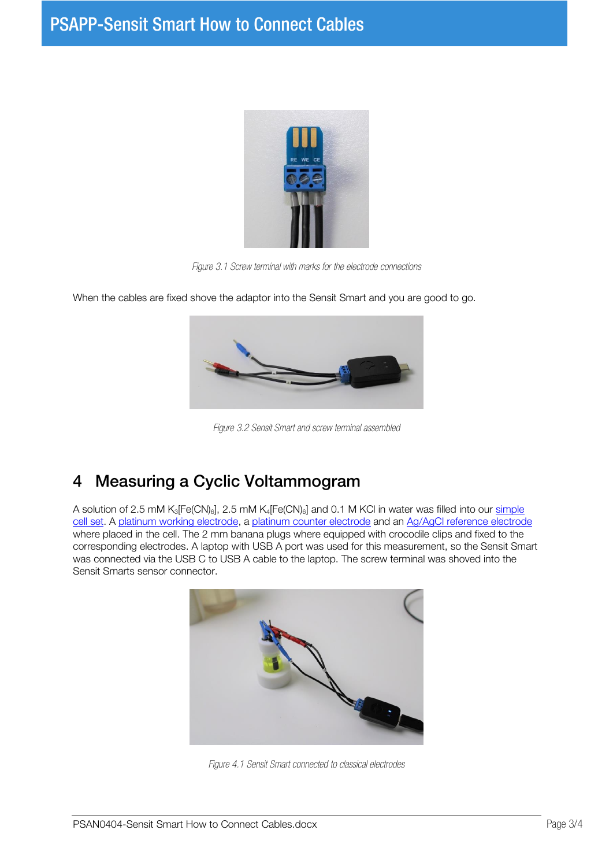

*Figure 3.1 Screw terminal with marks for the electrode connections*



When the cables are fixed shove the adaptor into the Sensit Smart and you are good to go.

*Figure 3.2 Sensit Smart and screw terminal assembled*

## <span id="page-2-0"></span>4 Measuring a Cyclic Voltammogram

A solution of 2.5 mM K<sub>3</sub>[Fe(CN)<sub>6</sub>], 2.5 mM K<sub>4</sub>[Fe(CN)<sub>6</sub>] and 0.1 M KCl in water was filled into our simple [cell set.](https://www.palmsens.com/product/simple-cell-set-foot-lit-glass-cell/) A [platinum working electrode,](https://www.palmsens.com/product/classic-metal-disc-electrode-o-2-mm-au/) a [platinum counter electrode](https://www.palmsens.com/product/counter-electrode-made-platinum-wire/) and an Ag/AgCl reference electrode where placed in the cell. The 2 mm banana plugs where equipped with crocodile clips and fixed to the corresponding electrodes. A laptop with USB A port was used for this measurement, so the Sensit Smart was connected via the USB C to USB A cable to the laptop. The screw terminal was shoved into the Sensit Smarts sensor connector.



*Figure 4.1 Sensit Smart connected to classical electrodes*